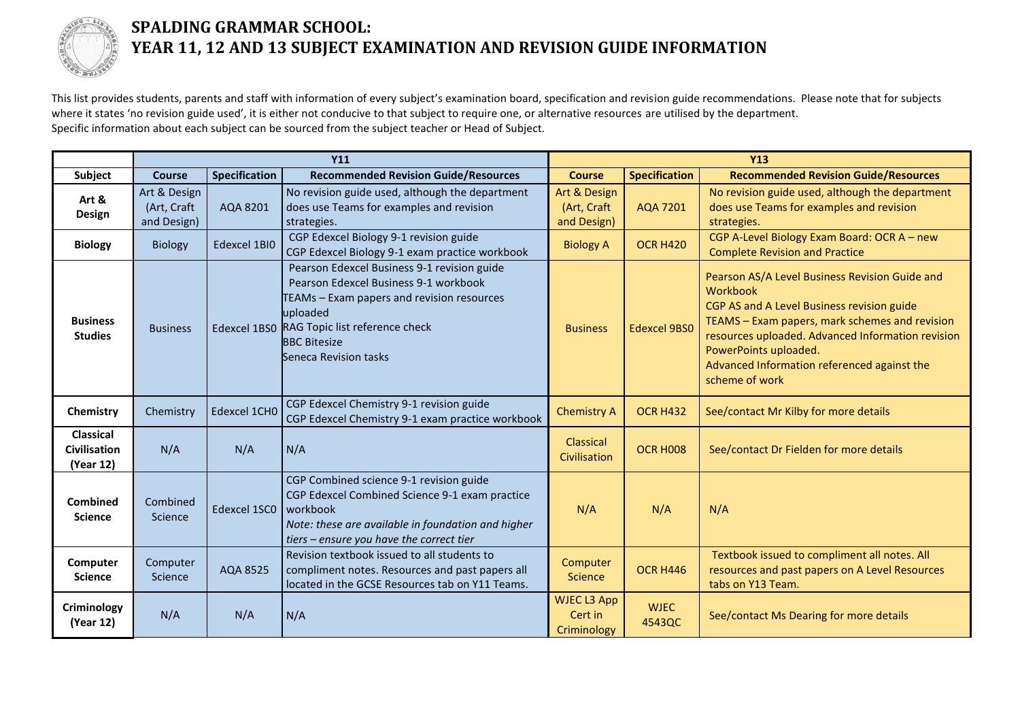

## **SPALDING GRAMMAR SCHOOL: YEAR 11, 12 AND 13 SUBJECT EXAMINATION AND REVISION GUIDE INFORMATION**

This list provides students, parents and staff with information of every subject's examination board, specification and revision guide recommendations. Please note that for subjects where it states 'no revision guide used', it is either not conducive to that subject to require one, or alternative resources are utilised by the department. Specific information about each subject can be sourced from the subject teacher or Head of Subject.

|                                                      | <b>Y11</b>                                 |                      |                                                                                                                                                                                                                                               | <b>Y13</b>                                   |                       |                                                                                                                                                                                                                                                                                                           |
|------------------------------------------------------|--------------------------------------------|----------------------|-----------------------------------------------------------------------------------------------------------------------------------------------------------------------------------------------------------------------------------------------|----------------------------------------------|-----------------------|-----------------------------------------------------------------------------------------------------------------------------------------------------------------------------------------------------------------------------------------------------------------------------------------------------------|
| Subject                                              | <b>Course</b>                              | <b>Specification</b> | <b>Recommended Revision Guide/Resources</b>                                                                                                                                                                                                   | <b>Course</b>                                | <b>Specification</b>  | <b>Recommended Revision Guide/Resources</b>                                                                                                                                                                                                                                                               |
| Art &<br><b>Design</b>                               | Art & Design<br>(Art, Craft<br>and Design) | AQA 8201             | No revision guide used, although the department<br>does use Teams for examples and revision<br>strategies.                                                                                                                                    | Art & Design<br>(Art, Craft<br>and Design)   | <b>AQA 7201</b>       | No revision guide used, although the department<br>does use Teams for examples and revision<br>strategies.                                                                                                                                                                                                |
| <b>Biology</b>                                       | Biology                                    | Edexcel 1BI0         | CGP Edexcel Biology 9-1 revision guide<br>CGP Edexcel Biology 9-1 exam practice workbook                                                                                                                                                      | <b>Biology A</b>                             | <b>OCR H420</b>       | CGP A-Level Biology Exam Board: OCR A - new<br><b>Complete Revision and Practice</b>                                                                                                                                                                                                                      |
| <b>Business</b><br><b>Studies</b>                    | <b>Business</b>                            |                      | Pearson Edexcel Business 9-1 revision guide<br>Pearson Edexcel Business 9-1 workbook<br>TEAMs - Exam papers and revision resources<br>uploaded<br>Edexcel 1BS0 RAG Topic list reference check<br><b>BBC Bitesize</b><br>Seneca Revision tasks | <b>Business</b>                              | <b>Edexcel 9BS0</b>   | Pearson AS/A Level Business Revision Guide and<br>Workbook<br>CGP AS and A Level Business revision guide<br>TEAMS - Exam papers, mark schemes and revision<br>resources uploaded. Advanced Information revision<br>PowerPoints uploaded.<br>Advanced Information referenced against the<br>scheme of work |
| Chemistry                                            | Chemistry                                  | Edexcel 1CH0         | CGP Edexcel Chemistry 9-1 revision guide<br>CGP Edexcel Chemistry 9-1 exam practice workbook                                                                                                                                                  | <b>Chemistry A</b>                           | <b>OCR H432</b>       | See/contact Mr Kilby for more details                                                                                                                                                                                                                                                                     |
| <b>Classical</b><br><b>Civilisation</b><br>(Year 12) | N/A                                        | N/A                  | N/A                                                                                                                                                                                                                                           | Classical<br>Civilisation                    | OCR HOO8              | See/contact Dr Fielden for more details                                                                                                                                                                                                                                                                   |
| <b>Combined</b><br><b>Science</b>                    | Combined<br>Science                        | Edexcel 1SC0         | CGP Combined science 9-1 revision guide<br>CGP Edexcel Combined Science 9-1 exam practice<br>workbook<br>Note: these are available in foundation and higher<br>tiers - ensure you have the correct tier                                       | N/A                                          | N/A                   | N/A                                                                                                                                                                                                                                                                                                       |
| Computer<br><b>Science</b>                           | Computer<br>Science                        | AQA 8525             | Revision textbook issued to all students to<br>compliment notes. Resources and past papers all<br>located in the GCSE Resources tab on Y11 Teams.                                                                                             | Computer<br><b>Science</b>                   | <b>OCR H446</b>       | Textbook issued to compliment all notes. All<br>resources and past papers on A Level Resources<br>tabs on Y13 Team.                                                                                                                                                                                       |
| <b>Criminology</b><br>(Year 12)                      | N/A                                        | N/A                  | N/A                                                                                                                                                                                                                                           | <b>WJEC L3 App</b><br>Cert in<br>Criminology | <b>WJEC</b><br>4543QC | See/contact Ms Dearing for more details                                                                                                                                                                                                                                                                   |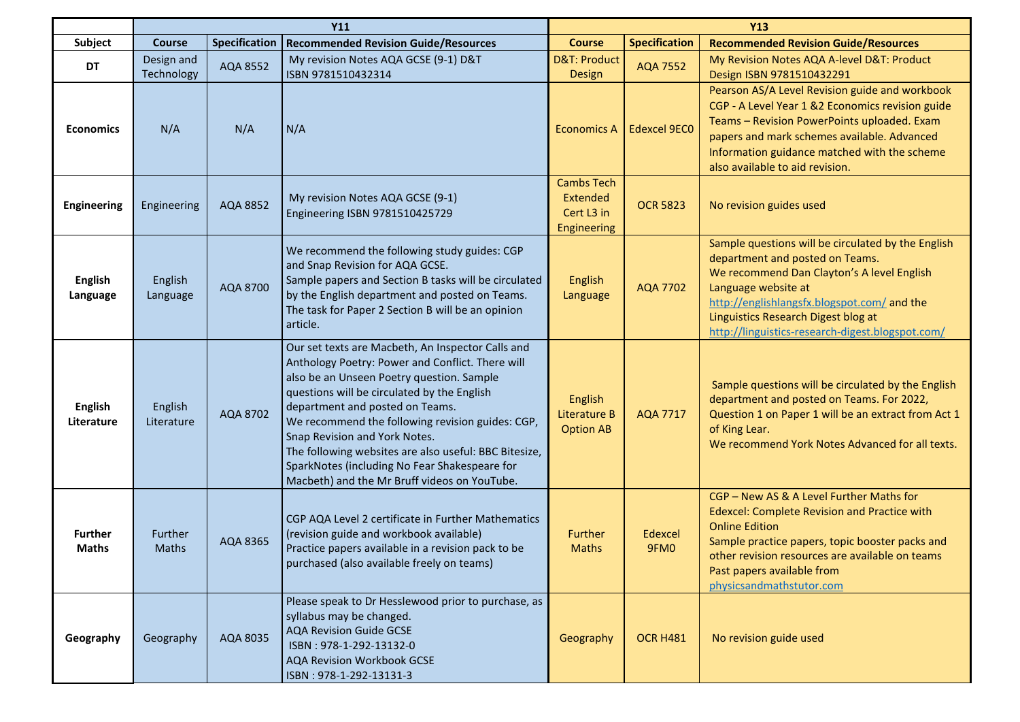|                                | <b>Y11</b>               |               |                                                                                                                                                                                                                                                                                                                                                                                                                                                                                     | <b>Y13</b>                                                        |                      |                                                                                                                                                                                                                                                                                                      |
|--------------------------------|--------------------------|---------------|-------------------------------------------------------------------------------------------------------------------------------------------------------------------------------------------------------------------------------------------------------------------------------------------------------------------------------------------------------------------------------------------------------------------------------------------------------------------------------------|-------------------------------------------------------------------|----------------------|------------------------------------------------------------------------------------------------------------------------------------------------------------------------------------------------------------------------------------------------------------------------------------------------------|
| Subject                        | <b>Course</b>            | Specification | <b>Recommended Revision Guide/Resources</b>                                                                                                                                                                                                                                                                                                                                                                                                                                         | <b>Course</b>                                                     | <b>Specification</b> | <b>Recommended Revision Guide/Resources</b>                                                                                                                                                                                                                                                          |
| DT                             | Design and<br>Technology | AQA 8552      | My revision Notes AQA GCSE (9-1) D&T<br>ISBN 9781510432314                                                                                                                                                                                                                                                                                                                                                                                                                          | <b>D&amp;T: Product</b><br><b>Design</b>                          | <b>AQA 7552</b>      | My Revision Notes AQA A-level D&T: Product<br>Design ISBN 9781510432291                                                                                                                                                                                                                              |
| <b>Economics</b>               | N/A                      | N/A           | N/A                                                                                                                                                                                                                                                                                                                                                                                                                                                                                 | <b>Economics A</b>                                                | <b>Edexcel 9EC0</b>  | Pearson AS/A Level Revision guide and workbook<br>CGP - A Level Year 1 &2 Economics revision guide<br>Teams - Revision PowerPoints uploaded. Exam<br>papers and mark schemes available. Advanced<br>Information guidance matched with the scheme<br>also available to aid revision.                  |
| <b>Engineering</b>             | Engineering              | AQA 8852      | My revision Notes AQA GCSE (9-1)<br>Engineering ISBN 9781510425729                                                                                                                                                                                                                                                                                                                                                                                                                  | <b>Cambs Tech</b><br>Extended<br>Cert L3 in<br><b>Engineering</b> | <b>OCR 5823</b>      | No revision guides used                                                                                                                                                                                                                                                                              |
| <b>English</b><br>Language     | English<br>Language      | AQA 8700      | We recommend the following study guides: CGP<br>and Snap Revision for AQA GCSE.<br>Sample papers and Section B tasks will be circulated<br>by the English department and posted on Teams.<br>The task for Paper 2 Section B will be an opinion<br>article.                                                                                                                                                                                                                          | <b>English</b><br>Language                                        | <b>AQA 7702</b>      | Sample questions will be circulated by the English<br>department and posted on Teams.<br>We recommend Dan Clayton's A level English<br>Language website at<br>http://englishlangsfx.blogspot.com/ and the<br>Linguistics Research Digest blog at<br>http://linguistics-research-digest.blogspot.com/ |
| <b>English</b><br>Literature   | English<br>Literature    | AQA 8702      | Our set texts are Macbeth, An Inspector Calls and<br>Anthology Poetry: Power and Conflict. There will<br>also be an Unseen Poetry question. Sample<br>questions will be circulated by the English<br>department and posted on Teams.<br>We recommend the following revision guides: CGP,<br>Snap Revision and York Notes.<br>The following websites are also useful: BBC Bitesize,<br>SparkNotes (including No Fear Shakespeare for<br>Macbeth) and the Mr Bruff videos on YouTube. | English<br>Literature B<br><b>Option AB</b>                       | <b>AQA 7717</b>      | Sample questions will be circulated by the English<br>department and posted on Teams. For 2022,<br>Question 1 on Paper 1 will be an extract from Act 1<br>of King Lear.<br>We recommend York Notes Advanced for all texts.                                                                           |
| <b>Further</b><br><b>Maths</b> | Further<br><b>Maths</b>  | AQA 8365      | CGP AQA Level 2 certificate in Further Mathematics<br>(revision guide and workbook available)<br>Practice papers available in a revision pack to be<br>purchased (also available freely on teams)                                                                                                                                                                                                                                                                                   | Further<br>Maths                                                  | Edexcel<br>9FM0      | CGP - New AS & A Level Further Maths for<br>Edexcel: Complete Revision and Practice with<br><b>Online Edition</b><br>Sample practice papers, topic booster packs and<br>other revision resources are available on teams<br>Past papers available from<br>physicsandmathstutor.com                    |
| Geography                      | Geography                | AQA 8035      | Please speak to Dr Hesslewood prior to purchase, as<br>syllabus may be changed.<br><b>AQA Revision Guide GCSE</b><br>ISBN: 978-1-292-13132-0<br>AQA Revision Workbook GCSE<br>ISBN: 978-1-292-13131-3                                                                                                                                                                                                                                                                               | Geography                                                         | <b>OCR H481</b>      | No revision guide used                                                                                                                                                                                                                                                                               |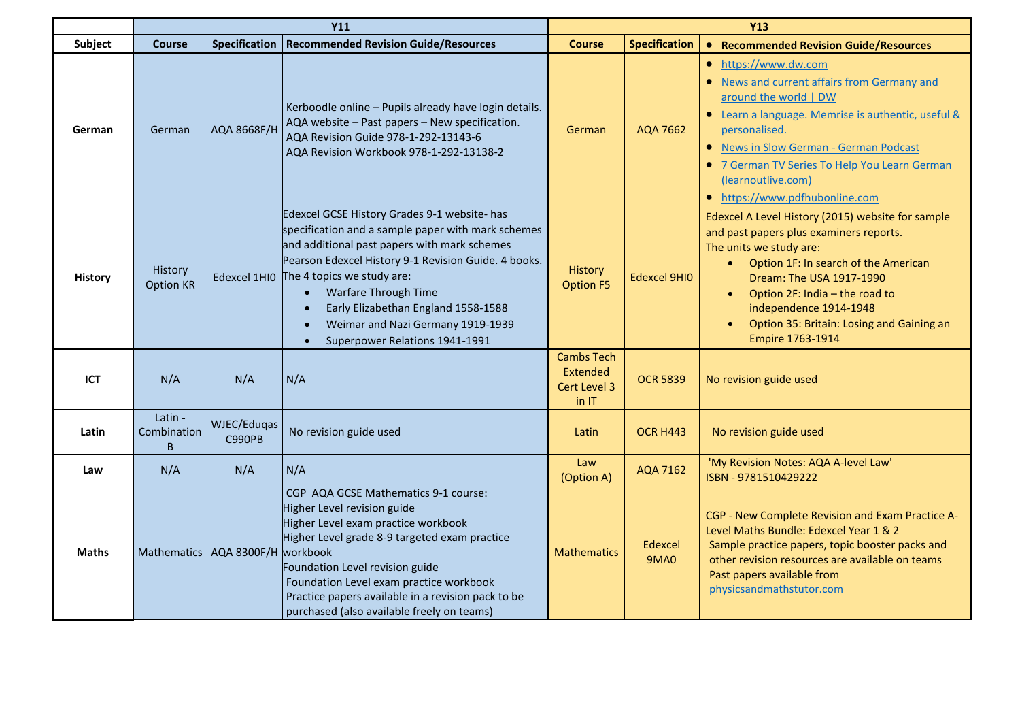|                | <b>Y11</b>                  |                              |                                                                                                                                                                                                                                                                                                                                                                                                          | <b>Y13</b>                                             |                        |                                                                                                                                                                                                                                                                                                                                                    |
|----------------|-----------------------------|------------------------------|----------------------------------------------------------------------------------------------------------------------------------------------------------------------------------------------------------------------------------------------------------------------------------------------------------------------------------------------------------------------------------------------------------|--------------------------------------------------------|------------------------|----------------------------------------------------------------------------------------------------------------------------------------------------------------------------------------------------------------------------------------------------------------------------------------------------------------------------------------------------|
| Subject        | <b>Course</b>               | <b>Specification</b>         | <b>Recommended Revision Guide/Resources</b>                                                                                                                                                                                                                                                                                                                                                              | <b>Course</b>                                          | <b>Specification</b>   | • Recommended Revision Guide/Resources                                                                                                                                                                                                                                                                                                             |
| German         | German                      | AQA 8668F/H                  | Kerboodle online - Pupils already have login details.<br>AQA website - Past papers - New specification.<br>AQA Revision Guide 978-1-292-13143-6<br>AQA Revision Workbook 978-1-292-13138-2                                                                                                                                                                                                               | German                                                 | <b>AQA 7662</b>        | https://www.dw.com<br>$\bullet$<br>News and current affairs from Germany and<br>around the world   DW<br>Learn a language. Memrise is authentic, useful &<br>personalised.<br><b>News in Slow German - German Podcast</b><br>7 German TV Series To Help You Learn German<br>(learnoutlive.com)<br>• https://www.pdfhubonline.com                   |
| <b>History</b> | History<br><b>Option KR</b> | Edexcel 1HIO                 | Edexcel GCSE History Grades 9-1 website- has<br>specification and a sample paper with mark schemes<br>and additional past papers with mark schemes<br>Pearson Edexcel History 9-1 Revision Guide. 4 books.<br>The 4 topics we study are:<br>Warfare Through Time<br>$\bullet$<br>Early Elizabethan England 1558-1588<br>Weimar and Nazi Germany 1919-1939<br>Superpower Relations 1941-1991<br>$\bullet$ | <b>History</b><br><b>Option F5</b>                     | <b>Edexcel 9HIO</b>    | Edexcel A Level History (2015) website for sample<br>and past papers plus examiners reports.<br>The units we study are:<br>Option 1F: In search of the American<br>$\bullet$<br>Dream: The USA 1917-1990<br>Option 2F: India - the road to<br>$\bullet$<br>independence 1914-1948<br>Option 35: Britain: Losing and Gaining an<br>Empire 1763-1914 |
| <b>ICT</b>     | N/A                         | N/A                          | N/A                                                                                                                                                                                                                                                                                                                                                                                                      | <b>Cambs Tech</b><br>Extended<br>Cert Level 3<br>in IT | <b>OCR 5839</b>        | No revision guide used                                                                                                                                                                                                                                                                                                                             |
| Latin          | Latin -<br>Combination<br>B | WJEC/Eduqas<br><b>C990PB</b> | No revision guide used                                                                                                                                                                                                                                                                                                                                                                                   | Latin                                                  | <b>OCR H443</b>        | No revision guide used                                                                                                                                                                                                                                                                                                                             |
| Law            | N/A                         | N/A                          | N/A                                                                                                                                                                                                                                                                                                                                                                                                      | Law<br>(Option A)                                      | AQA 7162               | 'My Revision Notes: AQA A-level Law'<br>ISBN - 9781510429222                                                                                                                                                                                                                                                                                       |
| <b>Maths</b>   | <b>Mathematics</b>          | AQA 8300F/H workbook         | CGP AQA GCSE Mathematics 9-1 course:<br>Higher Level revision guide<br>Higher Level exam practice workbook<br>Higher Level grade 8-9 targeted exam practice<br>Foundation Level revision guide<br>Foundation Level exam practice workbook<br>Practice papers available in a revision pack to be<br>purchased (also available freely on teams)                                                            | <b>Mathematics</b>                                     | Edexcel<br><b>9MA0</b> | CGP - New Complete Revision and Exam Practice A-<br>Level Maths Bundle: Edexcel Year 1 & 2<br>Sample practice papers, topic booster packs and<br>other revision resources are available on teams<br>Past papers available from<br>physicsandmathstutor.com                                                                                         |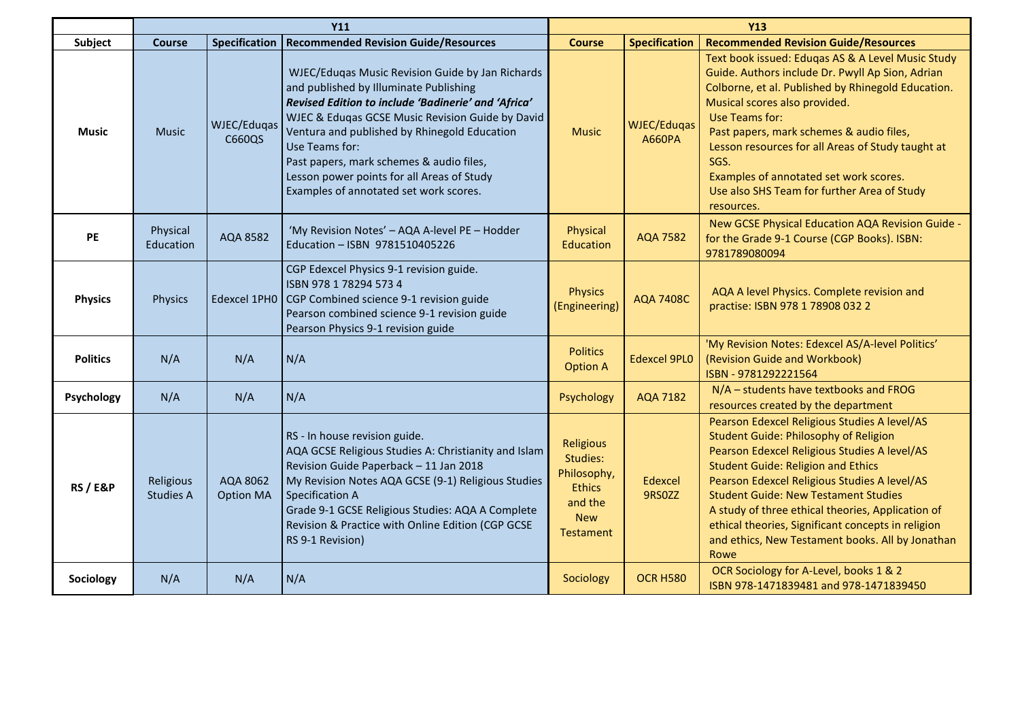|                     | <b>Y11</b>                    |                              | <b>Y13</b>                                                                                                                                                                                                                                                                                                                                                                                                  |                                                                                                    |                                     |                                                                                                                                                                                                                                                                                                                                                                                                                                                                 |
|---------------------|-------------------------------|------------------------------|-------------------------------------------------------------------------------------------------------------------------------------------------------------------------------------------------------------------------------------------------------------------------------------------------------------------------------------------------------------------------------------------------------------|----------------------------------------------------------------------------------------------------|-------------------------------------|-----------------------------------------------------------------------------------------------------------------------------------------------------------------------------------------------------------------------------------------------------------------------------------------------------------------------------------------------------------------------------------------------------------------------------------------------------------------|
| Subject             | <b>Course</b>                 | <b>Specification</b>         | <b>Recommended Revision Guide/Resources</b>                                                                                                                                                                                                                                                                                                                                                                 | <b>Course</b>                                                                                      | <b>Specification</b>                | <b>Recommended Revision Guide/Resources</b>                                                                                                                                                                                                                                                                                                                                                                                                                     |
| <b>Music</b>        | <b>Music</b>                  | WJEC/Eduqas<br>C660QS        | WJEC/Eduqas Music Revision Guide by Jan Richards<br>and published by Illuminate Publishing<br>Revised Edition to include 'Badinerie' and 'Africa'<br>WJEC & Eduqas GCSE Music Revision Guide by David<br>Ventura and published by Rhinegold Education<br>Use Teams for:<br>Past papers, mark schemes & audio files,<br>Lesson power points for all Areas of Study<br>Examples of annotated set work scores. | <b>Music</b>                                                                                       | <b>WJEC/Eduqas</b><br><b>A660PA</b> | Text book issued: Eduqas AS & A Level Music Study<br>Guide. Authors include Dr. Pwyll Ap Sion, Adrian<br>Colborne, et al. Published by Rhinegold Education.<br>Musical scores also provided.<br>Use Teams for:<br>Past papers, mark schemes & audio files,<br>Lesson resources for all Areas of Study taught at<br>SGS.<br>Examples of annotated set work scores.<br>Use also SHS Team for further Area of Study<br>resources.                                  |
| <b>PE</b>           | Physical<br>Education         | AQA 8582                     | 'My Revision Notes' - AQA A-level PE - Hodder<br>Education - ISBN 9781510405226                                                                                                                                                                                                                                                                                                                             | Physical<br>Education                                                                              | <b>AQA 7582</b>                     | New GCSE Physical Education AQA Revision Guide -<br>for the Grade 9-1 Course (CGP Books). ISBN:<br>9781789080094                                                                                                                                                                                                                                                                                                                                                |
| <b>Physics</b>      | <b>Physics</b>                | Edexcel 1PH0                 | CGP Edexcel Physics 9-1 revision guide.<br>ISBN 978 1 78294 573 4<br>CGP Combined science 9-1 revision guide<br>Pearson combined science 9-1 revision guide<br>Pearson Physics 9-1 revision guide                                                                                                                                                                                                           | <b>Physics</b><br>(Engineering)                                                                    | <b>AQA 7408C</b>                    | AQA A level Physics. Complete revision and<br>practise: ISBN 978 1 78908 032 2                                                                                                                                                                                                                                                                                                                                                                                  |
| <b>Politics</b>     | N/A                           | N/A                          | N/A                                                                                                                                                                                                                                                                                                                                                                                                         | <b>Politics</b><br><b>Option A</b>                                                                 | <b>Edexcel 9PL0</b>                 | 'My Revision Notes: Edexcel AS/A-level Politics'<br>(Revision Guide and Workbook)<br>ISBN - 9781292221564                                                                                                                                                                                                                                                                                                                                                       |
| Psychology          | N/A                           | N/A                          | N/A                                                                                                                                                                                                                                                                                                                                                                                                         | Psychology                                                                                         | <b>AQA 7182</b>                     | N/A - students have textbooks and FROG<br>resources created by the department                                                                                                                                                                                                                                                                                                                                                                                   |
| <b>RS / E&amp;P</b> | Religious<br><b>Studies A</b> | AQA 8062<br><b>Option MA</b> | RS - In house revision guide.<br>AQA GCSE Religious Studies A: Christianity and Islam<br>Revision Guide Paperback - 11 Jan 2018<br>My Revision Notes AQA GCSE (9-1) Religious Studies<br><b>Specification A</b><br>Grade 9-1 GCSE Religious Studies: AQA A Complete<br>Revision & Practice with Online Edition (CGP GCSE<br>RS 9-1 Revision)                                                                | <b>Religious</b><br>Studies:<br>Philosophy,<br><b>Ethics</b><br>and the<br><b>New</b><br>Testament | Edexcel<br>9RS0ZZ                   | Pearson Edexcel Religious Studies A level/AS<br><b>Student Guide: Philosophy of Religion</b><br>Pearson Edexcel Religious Studies A level/AS<br><b>Student Guide: Religion and Ethics</b><br>Pearson Edexcel Religious Studies A level/AS<br><b>Student Guide: New Testament Studies</b><br>A study of three ethical theories, Application of<br>ethical theories, Significant concepts in religion<br>and ethics, New Testament books. All by Jonathan<br>Rowe |
| Sociology           | N/A                           | N/A                          | N/A                                                                                                                                                                                                                                                                                                                                                                                                         | Sociology                                                                                          | <b>OCR H580</b>                     | OCR Sociology for A-Level, books 1 & 2<br>ISBN 978-1471839481 and 978-1471839450                                                                                                                                                                                                                                                                                                                                                                                |